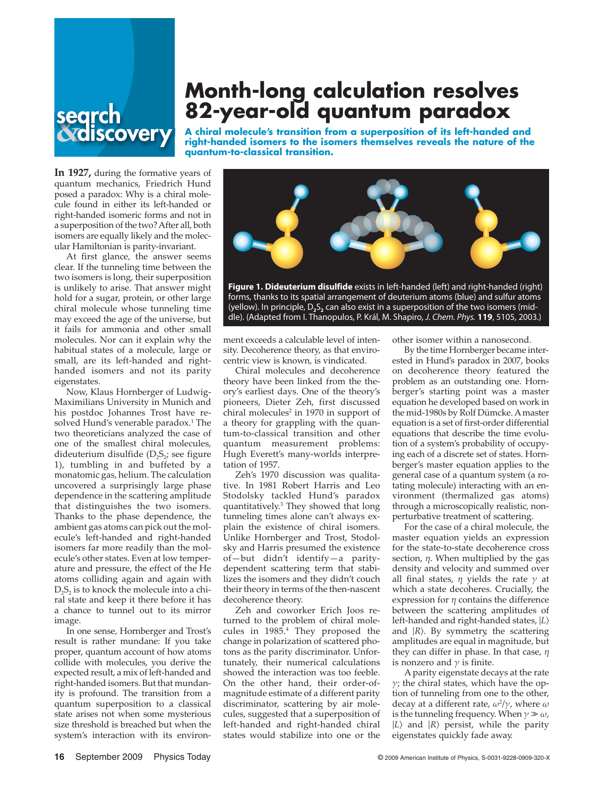

# **Month-long calculation resolves 82-year-old quantum paradox**

**A chiral molecule's transition from a superposition of its left-handed and right-handed isomers to the isomers themselves reveals the nature of the quantum-to-classical transition.**

**In 1927,** during the formative years of quantum mechanics, Friedrich Hund posed a paradox: Why is a chiral molecule found in either its left-handed or right-handed isomeric forms and not in a superposition of the two? After all, both isomers are equally likely and the molecular Hamiltonian is parity-invariant.

At first glance, the answer seems clear. If the tunneling time between the two isomers is long, their superposition is unlikely to arise. That answer might hold for a sugar, protein, or other large chiral molecule whose tunneling time may exceed the age of the universe, but it fails for ammonia and other small molecules. Nor can it explain why the habitual states of a molecule, large or small, are its left-handed and righthanded isomers and not its parity eigenstates.

Now, Klaus Hornberger of Ludwig-Maximilians University in Munich and his postdoc Johannes Trost have resolved Hund's venerable paradox.<sup>1</sup> The two theoreticians analyzed the case of one of the smallest chiral molecules, dideuterium disulfide  $(D<sub>2</sub>S<sub>2</sub>)$ ; see figure 1), tumbling in and buffeted by a monatomic gas, helium. The calculation uncovered a surprisingly large phase dependence in the scattering amplitude that distinguishes the two isomers. Thanks to the phase dependence, the ambient gas atoms can pick out the molecule's left-handed and right-handed isomers far more readily than the molecule's other states. Even at low temperature and pressure, the effect of the He atoms colliding again and again with  $D_2S_2$  is to knock the molecule into a chiral state and keep it there before it has a chance to tunnel out to its mirror image.

In one sense, Hornberger and Trost's result is rather mundane: If you take proper, quantum account of how atoms collide with molecules, you derive the expected result, a mix of left-handed and right-handed isomers. But that mundanity is profound. The transition from a quantum superposition to a classical state arises not when some mysterious size threshold is breached but when the system's interaction with its environ-



**Figure 1. Dideuterium disulfide** exists in left-handed (left) and right-handed (right) forms, thanks to its spatial arrangement of deuterium atoms (blue) and sulfur atoms (yellow). In principle,  $D_2S_2$  can also exist in a superposition of the two isomers (middle). (Adapted from I. Thanopulos, P. Král, M. Shapiro, *J. Chem. Phys.* **119**, 5105, 2003.)

ment exceeds a calculable level of intensity. Decoherence theory, as that envirocentric view is known, is vindicated.

Chiral molecules and decoherence theory have been linked from the theory's earliest days. One of the theory's pioneers, Dieter Zeh, first discussed chiral molecules<sup>2</sup> in 1970 in support of a theory for grappling with the quantum-to-classical transition and other quantum measurement problems: Hugh Everett's many-worlds interpretation of 1957.

Zeh's 1970 discussion was qualitative. In 1981 Robert Harris and Leo Stodolsky tackled Hund's paradox quantitatively.3 They showed that long tunneling times alone can't always explain the existence of chiral isomers. Unlike Hornberger and Trost, Stodolsky and Harris presumed the existence of—but didn't identify—a paritydependent scattering term that stabilizes the isomers and they didn't couch their theory in terms of the then-nascent decoherence theory.

Zeh and coworker Erich Joos returned to the problem of chiral molecules in 1985.4 They proposed the change in polarization of scattered photons as the parity discriminator. Unfortunately, their numerical calculations showed the interaction was too feeble. On the other hand, their order-ofmagnitude estimate of a different parity discriminator, scattering by air molecules, suggested that a superposition of left-handed and right-handed chiral states would stabilize into one or the

other isomer within a nanosecond.

By the time Hornberger became interested in Hund's paradox in 2007, books on decoherence theory featured the problem as an outstanding one. Hornberger's starting point was a master equation he developed based on work in the mid-1980s by Rolf Dümcke. A master equation is a set of first-order differential equations that describe the time evolution of a system's probability of occupying each of a discrete set of states. Hornberger's master equation applies to the general case of a quantum system (a rotating molecule) interacting with an environment (thermalized gas atoms) through a microscopically realistic, nonperturbative treatment of scattering.

For the case of a chiral molecule, the master equation yields an expression for the state-to-state decoherence cross section, *η*. When multiplied by the gas density and velocity and summed over all final states, *η* yields the rate *γ* at which a state decoheres. Crucially, the expression for *η* contains the difference between the scattering amplitudes of left-handed and right-handed states, ∣*L*〉 and ∣*R*〉. By symmetry, the scattering amplitudes are equal in magnitude, but they can differ in phase. In that case, *η* is nonzero and  $\gamma$  is finite.

A parity eigenstate decays at the rate *γ*; the chiral states, which have the option of tunneling from one to the other, decay at a different rate, *ω*<sup>2</sup> /*γ*, where *ω* is the tunneling frequency. When *γ* ≫ *ω*, ∣*L*〉 and ∣*R*〉 persist, while the parity eigenstates quickly fade away.